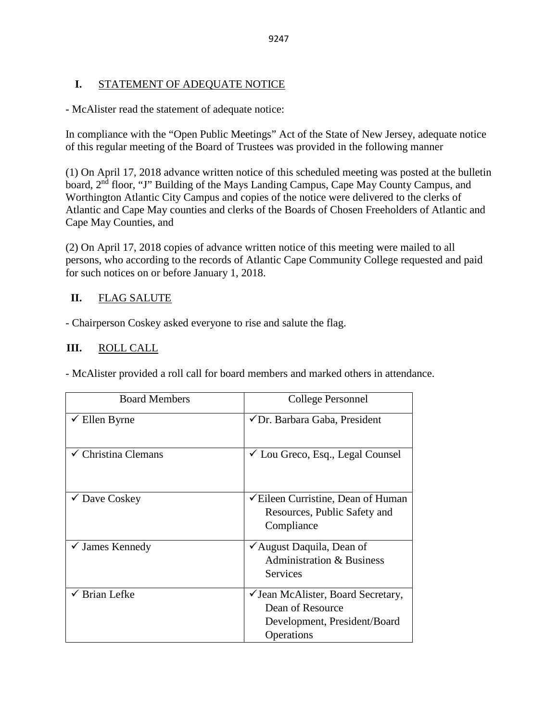# **I.** STATEMENT OF ADEQUATE NOTICE

- McAlister read the statement of adequate notice:

In compliance with the "Open Public Meetings" Act of the State of New Jersey, adequate notice of this regular meeting of the Board of Trustees was provided in the following manner

(1) On April 17, 2018 advance written notice of this scheduled meeting was posted at the bulletin board, 2<sup>nd</sup> floor, "J" Building of the Mays Landing Campus, Cape May County Campus, and Worthington Atlantic City Campus and copies of the notice were delivered to the clerks of Atlantic and Cape May counties and clerks of the Boards of Chosen Freeholders of Atlantic and Cape May Counties, and

(2) On April 17, 2018 copies of advance written notice of this meeting were mailed to all persons, who according to the records of Atlantic Cape Community College requested and paid for such notices on or before January 1, 2018.

# **II.** FLAG SALUTE

- Chairperson Coskey asked everyone to rise and salute the flag.

# **III.** ROLL CALL

- McAlister provided a roll call for board members and marked others in attendance.

| <b>Board Members</b>       | College Personnel                                                                                       |
|----------------------------|---------------------------------------------------------------------------------------------------------|
| $\checkmark$ Ellen Byrne   | ✔ Dr. Barbara Gaba, President                                                                           |
| Christina Clemans          | $\checkmark$ Lou Greco, Esq., Legal Counsel                                                             |
| $\checkmark$ Dave Coskey   | <del></del> <del>∠</del> Eileen Curristine, Dean of Human<br>Resources, Public Safety and<br>Compliance |
| $\checkmark$ James Kennedy | ✔ August Daquila, Dean of<br><b>Administration &amp; Business</b><br><b>Services</b>                    |
| <b>Brian Lefke</b>         | ✓ Jean McAlister, Board Secretary,<br>Dean of Resource<br>Development, President/Board<br>Operations    |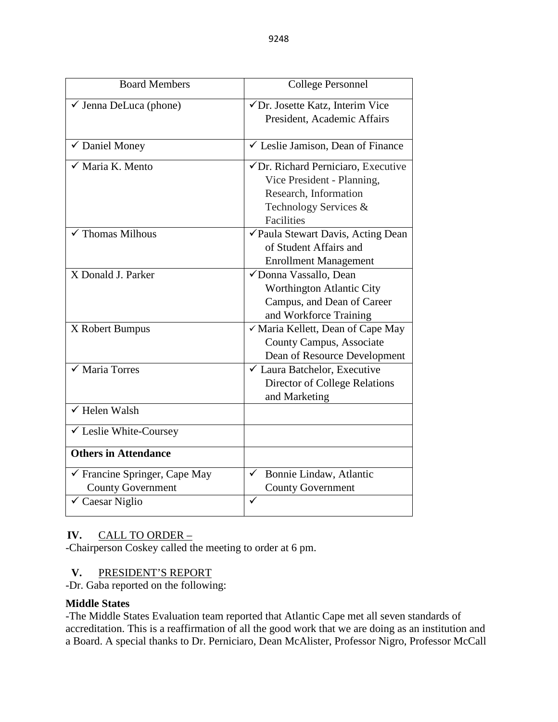| <b>Board Members</b>                                                                    | <b>College Personnel</b>                                                                                                                |  |
|-----------------------------------------------------------------------------------------|-----------------------------------------------------------------------------------------------------------------------------------------|--|
| $\checkmark$ Jenna DeLuca (phone)                                                       | √Dr. Josette Katz, Interim Vice<br>President, Academic Affairs                                                                          |  |
| ✔ Daniel Money                                                                          | $\checkmark$ Leslie Jamison, Dean of Finance                                                                                            |  |
| √ Maria K. Mento                                                                        | √Dr. Richard Perniciaro, Executive<br>Vice President - Planning,<br>Research, Information<br>Technology Services &<br><b>Facilities</b> |  |
| $\sqrt{\ }$ Thomas Milhous                                                              | <del></del> ∕ Paula Stewart Davis, Acting Dean<br>of Student Affairs and<br><b>Enrollment Management</b>                                |  |
| X Donald J. Parker                                                                      | √Donna Vassallo, Dean<br>Worthington Atlantic City<br>Campus, and Dean of Career<br>and Workforce Training                              |  |
| X Robert Bumpus                                                                         | √ Maria Kellett, Dean of Cape May<br>County Campus, Associate<br>Dean of Resource Development                                           |  |
| $\overline{\checkmark}$ Maria Torres                                                    | $\checkmark$ Laura Batchelor, Executive<br><b>Director of College Relations</b><br>and Marketing                                        |  |
| $\checkmark$ Helen Walsh                                                                |                                                                                                                                         |  |
| ✓ Leslie White-Coursey                                                                  |                                                                                                                                         |  |
| <b>Others in Attendance</b>                                                             |                                                                                                                                         |  |
| √ Francine Springer, Cape May<br><b>County Government</b><br>$\checkmark$ Caesar Niglio | Bonnie Lindaw, Atlantic<br>✓<br><b>County Government</b><br>✓                                                                           |  |

### **IV.** CALL TO ORDER –

-Chairperson Coskey called the meeting to order at 6 pm.

## **V.** PRESIDENT'S REPORT

-Dr. Gaba reported on the following:

### **Middle States**

-The Middle States Evaluation team reported that Atlantic Cape met all seven standards of accreditation. This is a reaffirmation of all the good work that we are doing as an institution and a Board. A special thanks to Dr. Perniciaro, Dean McAlister, Professor Nigro, Professor McCall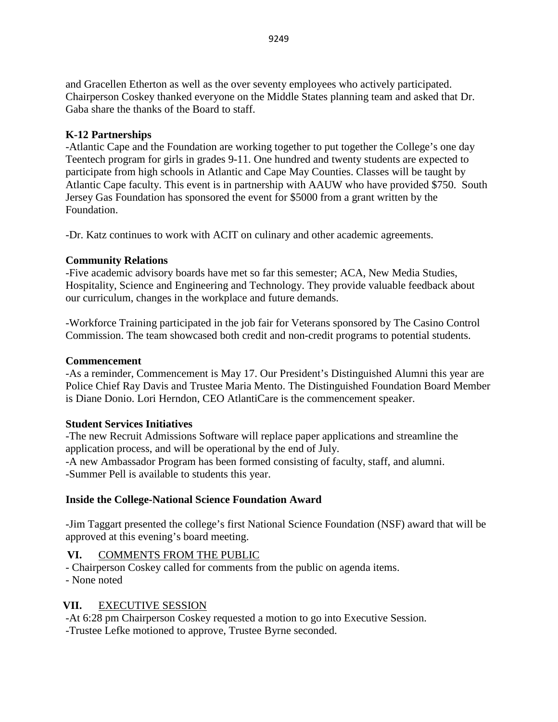and Gracellen Etherton as well as the over seventy employees who actively participated. Chairperson Coskey thanked everyone on the Middle States planning team and asked that Dr. Gaba share the thanks of the Board to staff.

# **K-12 Partnerships**

-Atlantic Cape and the Foundation are working together to put together the College's one day Teentech program for girls in grades 9-11. One hundred and twenty students are expected to participate from high schools in Atlantic and Cape May Counties. Classes will be taught by Atlantic Cape faculty. This event is in partnership with AAUW who have provided \$750. South Jersey Gas Foundation has sponsored the event for \$5000 from a grant written by the Foundation.

-Dr. Katz continues to work with ACIT on culinary and other academic agreements.

# **Community Relations**

-Five academic advisory boards have met so far this semester; ACA, New Media Studies, Hospitality, Science and Engineering and Technology. They provide valuable feedback about our curriculum, changes in the workplace and future demands.

-Workforce Training participated in the job fair for Veterans sponsored by The Casino Control Commission. The team showcased both credit and non-credit programs to potential students.

# **Commencement**

-As a reminder, Commencement is May 17. Our President's Distinguished Alumni this year are Police Chief Ray Davis and Trustee Maria Mento. The Distinguished Foundation Board Member is Diane Donio. Lori Herndon, CEO AtlantiCare is the commencement speaker.

# **Student Services Initiatives**

-The new Recruit Admissions Software will replace paper applications and streamline the application process, and will be operational by the end of July. -A new Ambassador Program has been formed consisting of faculty, staff, and alumni. -Summer Pell is available to students this year.

# **Inside the College-National Science Foundation Award**

-Jim Taggart presented the college's first National Science Foundation (NSF) award that will be approved at this evening's board meeting.

# **VI.** COMMENTS FROM THE PUBLIC

- Chairperson Coskey called for comments from the public on agenda items.

- None noted

# **VII.** EXECUTIVE SESSION

-At 6:28 pm Chairperson Coskey requested a motion to go into Executive Session. -Trustee Lefke motioned to approve, Trustee Byrne seconded.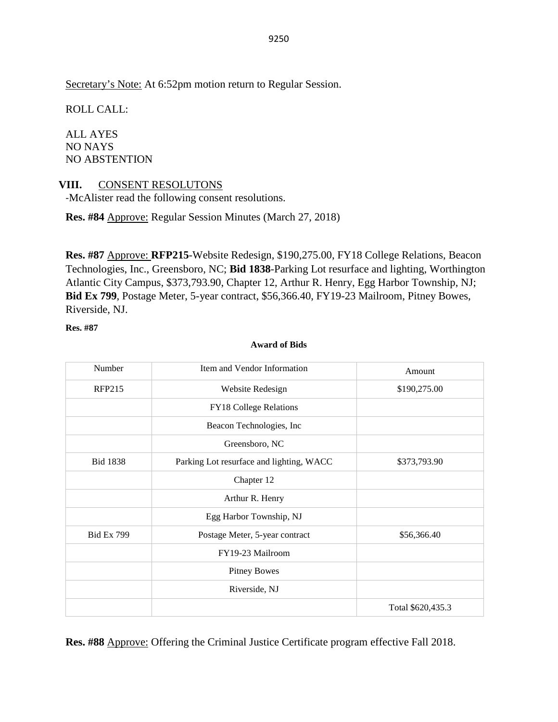Secretary's Note: At 6:52pm motion return to Regular Session.

ROLL CALL:

ALL AYES NO NAYS NO ABSTENTION

### **VIII.** CONSENT RESOLUTONS

-McAlister read the following consent resolutions.

**Res. #84** Approve: Regular Session Minutes (March 27, 2018)

**Res. #87** Approve: **RFP215**-Website Redesign, \$190,275.00, FY18 College Relations, Beacon Technologies, Inc., Greensboro, NC; **Bid 1838**-Parking Lot resurface and lighting, Worthington Atlantic City Campus, \$373,793.90, Chapter 12, Arthur R. Henry, Egg Harbor Township, NJ; **Bid Ex 799**, Postage Meter, 5-year contract, \$56,366.40, FY19-23 Mailroom, Pitney Bowes, Riverside, NJ.

**Res. #87** 

### **Award of Bids**

| Number            | Item and Vendor Information              | Amount            |
|-------------------|------------------------------------------|-------------------|
| <b>RFP215</b>     | Website Redesign                         | \$190,275.00      |
|                   | FY18 College Relations                   |                   |
|                   | Beacon Technologies, Inc.                |                   |
|                   | Greensboro, NC                           |                   |
| <b>Bid 1838</b>   | Parking Lot resurface and lighting, WACC | \$373,793.90      |
|                   | Chapter 12                               |                   |
|                   | Arthur R. Henry                          |                   |
|                   | Egg Harbor Township, NJ                  |                   |
| <b>Bid Ex 799</b> | Postage Meter, 5-year contract           | \$56,366.40       |
|                   | FY19-23 Mailroom                         |                   |
|                   | <b>Pitney Bowes</b>                      |                   |
|                   | Riverside, NJ                            |                   |
|                   |                                          | Total \$620,435.3 |

**Res. #88** Approve: Offering the Criminal Justice Certificate program effective Fall 2018.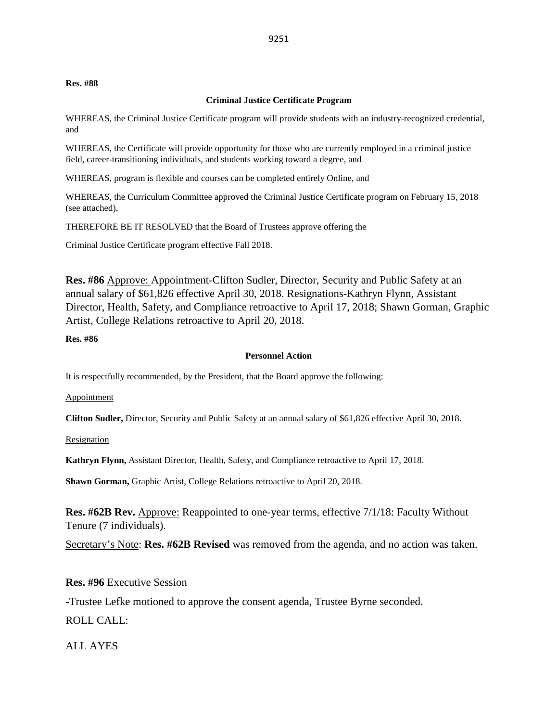#### **Res. #88**

### **Criminal Justice Certificate Program**

WHEREAS, the Criminal Justice Certificate program will provide students with an industry-recognized credential, and

WHEREAS, the Certificate will provide opportunity for those who are currently employed in a criminal justice field, career-transitioning individuals, and students working toward a degree, and

WHEREAS, program is flexible and courses can be completed entirely Online, and

WHEREAS, the Curriculum Committee approved the Criminal Justice Certificate program on February 15, 2018 (see attached),

THEREFORE BE IT RESOLVED that the Board of Trustees approve offering the

Criminal Justice Certificate program effective Fall 2018.

**Res. #86** Approve: Appointment-Clifton Sudler, Director, Security and Public Safety at an annual salary of \$61,826 effective April 30, 2018. Resignations-Kathryn Flynn, Assistant Director, Health, Safety, and Compliance retroactive to April 17, 2018; Shawn Gorman, Graphic Artist, College Relations retroactive to April 20, 2018.

#### **Res. #86**

#### **Personnel Action**

It is respectfully recommended, by the President, that the Board approve the following:

Appointment

**Clifton Sudler,** Director, Security and Public Safety at an annual salary of \$61,826 effective April 30, 2018.

Resignation

**Kathryn Flynn,** Assistant Director, Health, Safety, and Compliance retroactive to April 17, 2018.

**Shawn Gorman,** Graphic Artist, College Relations retroactive to April 20, 2018.

**Res. #62B Rev.** Approve: Reappointed to one-year terms, effective 7/1/18: Faculty Without Tenure (7 individuals).

Secretary's Note: **Res. #62B Revised** was removed from the agenda, and no action was taken.

### **Res. #96** Executive Session

-Trustee Lefke motioned to approve the consent agenda, Trustee Byrne seconded.

ROLL CALL:

ALL AYES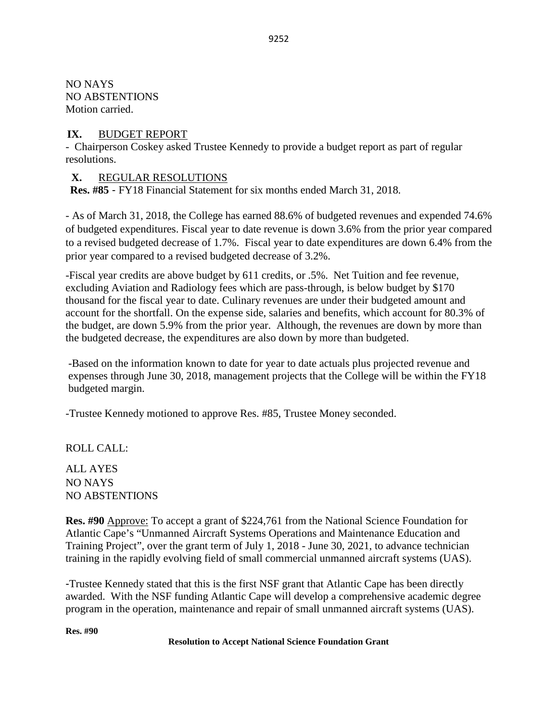NO NAYS NO ABSTENTIONS Motion carried.

### **IX.** BUDGET REPORT

- Chairperson Coskey asked Trustee Kennedy to provide a budget report as part of regular resolutions.

## **X.** REGULAR RESOLUTIONS

**Res. #85** - FY18 Financial Statement for six months ended March 31, 2018.

- As of March 31, 2018, the College has earned 88.6% of budgeted revenues and expended 74.6% of budgeted expenditures. Fiscal year to date revenue is down 3.6% from the prior year compared to a revised budgeted decrease of 1.7%. Fiscal year to date expenditures are down 6.4% from the prior year compared to a revised budgeted decrease of 3.2%.

-Fiscal year credits are above budget by 611 credits, or .5%. Net Tuition and fee revenue, excluding Aviation and Radiology fees which are pass-through, is below budget by \$170 thousand for the fiscal year to date. Culinary revenues are under their budgeted amount and account for the shortfall. On the expense side, salaries and benefits, which account for 80.3% of the budget, are down 5.9% from the prior year. Although, the revenues are down by more than the budgeted decrease, the expenditures are also down by more than budgeted.

-Based on the information known to date for year to date actuals plus projected revenue and expenses through June 30, 2018, management projects that the College will be within the FY18 budgeted margin.

-Trustee Kennedy motioned to approve Res. #85, Trustee Money seconded.

ROLL CALL:

ALL AYES NO NAYS NO ABSTENTIONS

**Res. #90** Approve: To accept a grant of \$224,761 from the National Science Foundation for Atlantic Cape's "Unmanned Aircraft Systems Operations and Maintenance Education and Training Project", over the grant term of July 1, 2018 - June 30, 2021, to advance technician training in the rapidly evolving field of small commercial unmanned aircraft systems (UAS).

-Trustee Kennedy stated that this is the first NSF grant that Atlantic Cape has been directly awarded. With the NSF funding Atlantic Cape will develop a comprehensive academic degree program in the operation, maintenance and repair of small unmanned aircraft systems (UAS).

**Res. #90**

**Resolution to Accept National Science Foundation Grant**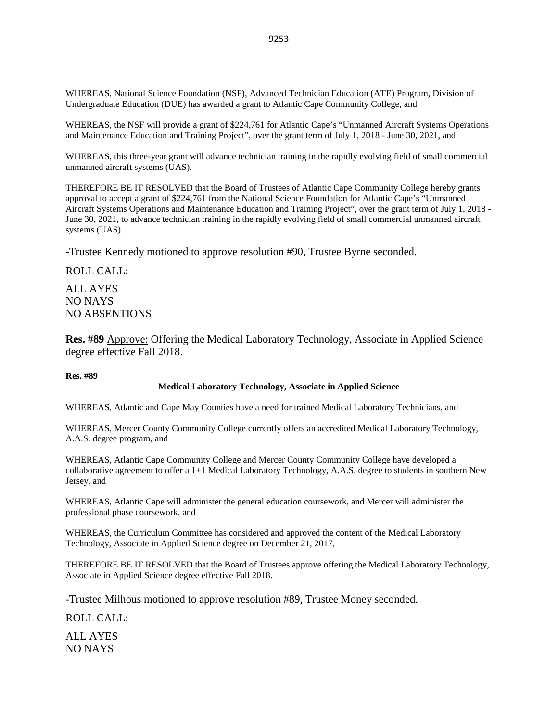WHEREAS, National Science Foundation (NSF), Advanced Technician Education (ATE) Program, Division of Undergraduate Education (DUE) has awarded a grant to Atlantic Cape Community College, and

WHEREAS, the NSF will provide a grant of \$224,761 for Atlantic Cape's "Unmanned Aircraft Systems Operations and Maintenance Education and Training Project", over the grant term of July 1, 2018 - June 30, 2021, and

WHEREAS, this three-year grant will advance technician training in the rapidly evolving field of small commercial unmanned aircraft systems (UAS).

THEREFORE BE IT RESOLVED that the Board of Trustees of Atlantic Cape Community College hereby grants approval to accept a grant of \$224,761 from the National Science Foundation for Atlantic Cape's "Unmanned Aircraft Systems Operations and Maintenance Education and Training Project", over the grant term of July 1, 2018 - June 30, 2021, to advance technician training in the rapidly evolving field of small commercial unmanned aircraft systems (UAS).

-Trustee Kennedy motioned to approve resolution #90, Trustee Byrne seconded.

ROLL CALL:

ALL AYES NO NAYS NO ABSENTIONS

**Res. #89** Approve: Offering the Medical Laboratory Technology, Associate in Applied Science degree effective Fall 2018.

#### **Res. #89**

#### **Medical Laboratory Technology, Associate in Applied Science**

WHEREAS, Atlantic and Cape May Counties have a need for trained Medical Laboratory Technicians, and

WHEREAS, Mercer County Community College currently offers an accredited Medical Laboratory Technology, A.A.S. degree program, and

WHEREAS, Atlantic Cape Community College and Mercer County Community College have developed a collaborative agreement to offer a 1+1 Medical Laboratory Technology, A.A.S. degree to students in southern New Jersey, and

WHEREAS, Atlantic Cape will administer the general education coursework, and Mercer will administer the professional phase coursework, and

WHEREAS, the Curriculum Committee has considered and approved the content of the Medical Laboratory Technology, Associate in Applied Science degree on December 21, 2017,

THEREFORE BE IT RESOLVED that the Board of Trustees approve offering the Medical Laboratory Technology, Associate in Applied Science degree effective Fall 2018.

-Trustee Milhous motioned to approve resolution #89, Trustee Money seconded.

ROLL CALL:

ALL AYES NO NAYS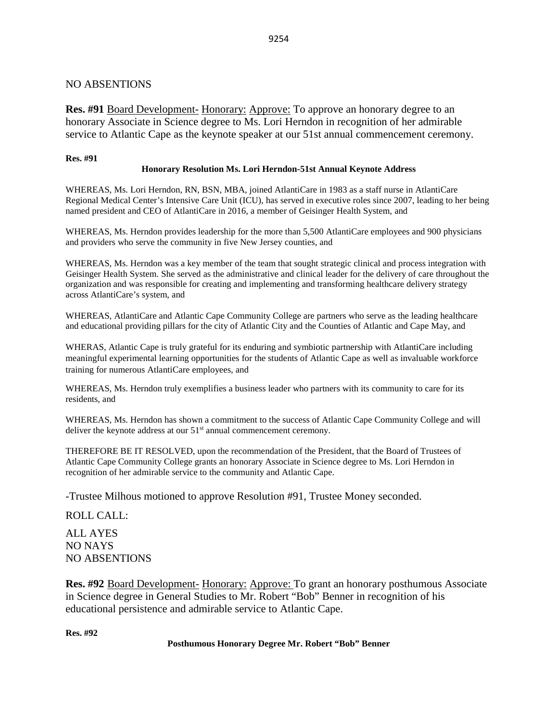### NO ABSENTIONS

**Res. #91** Board Development- Honorary: Approve: To approve an honorary degree to an honorary Associate in Science degree to Ms. Lori Herndon in recognition of her admirable service to Atlantic Cape as the keynote speaker at our 51st annual commencement ceremony.

### **Res. #91**

### **Honorary Resolution Ms. Lori Herndon-51st Annual Keynote Address**

WHEREAS, Ms. Lori Herndon, RN, BSN, MBA, joined AtlantiCare in 1983 as a staff nurse in AtlantiCare Regional Medical Center's Intensive Care Unit (ICU), has served in executive roles since 2007, leading to her being named president and CEO of AtlantiCare in 2016, a member of Geisinger Health System, and

WHEREAS, Ms. Herndon provides leadership for the more than 5,500 AtlantiCare employees and 900 physicians and providers who serve the community in five New Jersey counties, and

WHEREAS, Ms. Herndon was a key member of the team that sought strategic clinical and process integration with Geisinger Health System. She served as the administrative and clinical leader for the delivery of care throughout the organization and was responsible for creating and implementing and transforming healthcare delivery strategy across AtlantiCare's system, and

WHEREAS, AtlantiCare and Atlantic Cape Community College are partners who serve as the leading healthcare and educational providing pillars for the city of Atlantic City and the Counties of Atlantic and Cape May, and

WHERAS, Atlantic Cape is truly grateful for its enduring and symbiotic partnership with AtlantiCare including meaningful experimental learning opportunities for the students of Atlantic Cape as well as invaluable workforce training for numerous AtlantiCare employees, and

WHEREAS, Ms. Herndon truly exemplifies a business leader who partners with its community to care for its residents, and

WHEREAS, Ms. Herndon has shown a commitment to the success of Atlantic Cape Community College and will deliver the keynote address at our  $51<sup>st</sup>$  annual commencement ceremony.

THEREFORE BE IT RESOLVED, upon the recommendation of the President, that the Board of Trustees of Atlantic Cape Community College grants an honorary Associate in Science degree to Ms. Lori Herndon in recognition of her admirable service to the community and Atlantic Cape.

-Trustee Milhous motioned to approve Resolution #91, Trustee Money seconded.

ROLL CALL:

ALL AYES NO NAYS NO ABSENTIONS

**Res. #92** Board Development- Honorary: Approve: To grant an honorary posthumous Associate in Science degree in General Studies to Mr. Robert "Bob" Benner in recognition of his educational persistence and admirable service to Atlantic Cape.

**Res. #92**

### **Posthumous Honorary Degree Mr. Robert "Bob" Benner**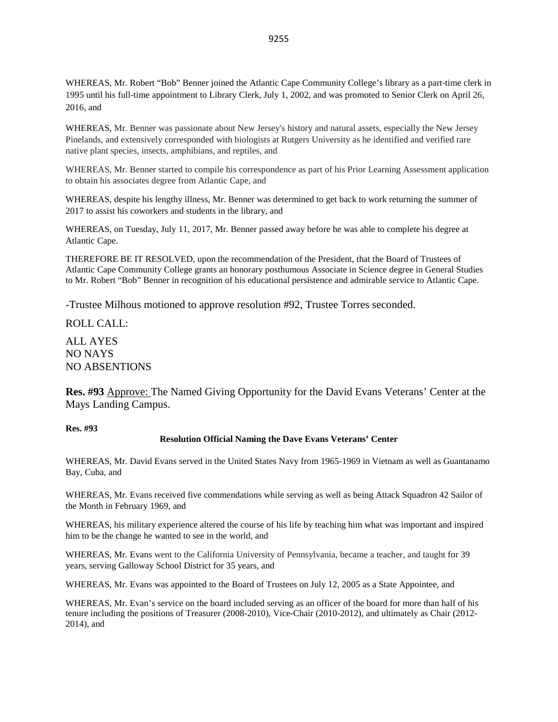WHEREAS, Mr. Robert "Bob" Benner joined the Atlantic Cape Community College's library as a part-time clerk in 1995 until his full-time appointment to Library Clerk, July 1, 2002, and was promoted to Senior Clerk on April 26, 2016, and

WHEREAS, Mr. Benner was passionate about New Jersey's history and natural assets, especially the New Jersey Pinelands, and extensively corresponded with biologists at Rutgers University as he identified and verified rare native plant species, insects, amphibians, and reptiles, and

WHEREAS, Mr. Benner started to compile his correspondence as part of his Prior Learning Assessment application to obtain his associates degree from Atlantic Cape, and

WHEREAS, despite his lengthy illness, Mr. Benner was determined to get back to work returning the summer of 2017 to assist his coworkers and students in the library, and

WHEREAS, on Tuesday, July 11, 2017, Mr. Benner passed away before he was able to complete his degree at Atlantic Cape.

THEREFORE BE IT RESOLVED, upon the recommendation of the President, that the Board of Trustees of Atlantic Cape Community College grants an honorary posthumous Associate in Science degree in General Studies to Mr. Robert "Bob" Benner in recognition of his educational persistence and admirable service to Atlantic Cape.

-Trustee Milhous motioned to approve resolution #92, Trustee Torres seconded.

ROLL CALL:

ALL AYES NO NAYS NO ABSENTIONS

**Res. #93** Approve: The Named Giving Opportunity for the David Evans Veterans' Center at the Mays Landing Campus.

#### **Res. #93**

#### **Resolution Official Naming the Dave Evans Veterans' Center**

WHEREAS, Mr. David Evans served in the United States Navy from 1965-1969 in Vietnam as well as Guantanamo Bay, Cuba, and

WHEREAS, Mr. Evans received five commendations while serving as well as being Attack Squadron 42 Sailor of the Month in February 1969, and

WHEREAS, his military experience altered the course of his life by teaching him what was important and inspired him to be the change he wanted to see in the world, and

WHEREAS, Mr. Evans went to the California University of Pennsylvania, became a teacher, and taught for 39 years, serving Galloway School District for 35 years, and

WHEREAS, Mr. Evans was appointed to the Board of Trustees on July 12, 2005 as a State Appointee, and

WHEREAS, Mr. Evan's service on the board included serving as an officer of the board for more than half of his tenure including the positions of Treasurer (2008-2010), Vice-Chair (2010-2012), and ultimately as Chair (2012- 2014), and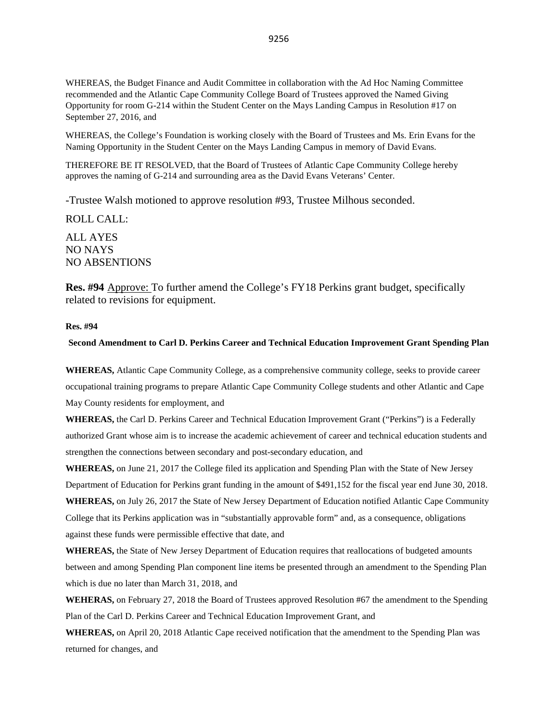WHEREAS, the Budget Finance and Audit Committee in collaboration with the Ad Hoc Naming Committee recommended and the Atlantic Cape Community College Board of Trustees approved the Named Giving Opportunity for room G-214 within the Student Center on the Mays Landing Campus in Resolution #17 on September 27, 2016, and

WHEREAS, the College's Foundation is working closely with the Board of Trustees and Ms. Erin Evans for the Naming Opportunity in the Student Center on the Mays Landing Campus in memory of David Evans.

THEREFORE BE IT RESOLVED, that the Board of Trustees of Atlantic Cape Community College hereby approves the naming of G-214 and surrounding area as the David Evans Veterans' Center.

-Trustee Walsh motioned to approve resolution #93, Trustee Milhous seconded.

ROLL CALL: ALL AYES NO NAYS NO ABSENTIONS

**Res. #94** Approve: To further amend the College's FY18 Perkins grant budget, specifically related to revisions for equipment.

#### **Res. #94**

#### **Second Amendment to Carl D. Perkins Career and Technical Education Improvement Grant Spending Plan**

**WHEREAS,** Atlantic Cape Community College, as a comprehensive community college, seeks to provide career occupational training programs to prepare Atlantic Cape Community College students and other Atlantic and Cape May County residents for employment, and

**WHEREAS,** the Carl D. Perkins Career and Technical Education Improvement Grant ("Perkins") is a Federally authorized Grant whose aim is to increase the academic achievement of career and technical education students and strengthen the connections between secondary and post-secondary education, and

**WHEREAS,** on June 21, 2017 the College filed its application and Spending Plan with the State of New Jersey Department of Education for Perkins grant funding in the amount of \$491,152 for the fiscal year end June 30, 2018. **WHEREAS,** on July 26, 2017 the State of New Jersey Department of Education notified Atlantic Cape Community College that its Perkins application was in "substantially approvable form" and, as a consequence, obligations against these funds were permissible effective that date, and

**WHEREAS,** the State of New Jersey Department of Education requires that reallocations of budgeted amounts between and among Spending Plan component line items be presented through an amendment to the Spending Plan which is due no later than March 31, 2018, and

**WEHERAS,** on February 27, 2018 the Board of Trustees approved Resolution #67 the amendment to the Spending Plan of the Carl D. Perkins Career and Technical Education Improvement Grant, and

**WHEREAS,** on April 20, 2018 Atlantic Cape received notification that the amendment to the Spending Plan was returned for changes, and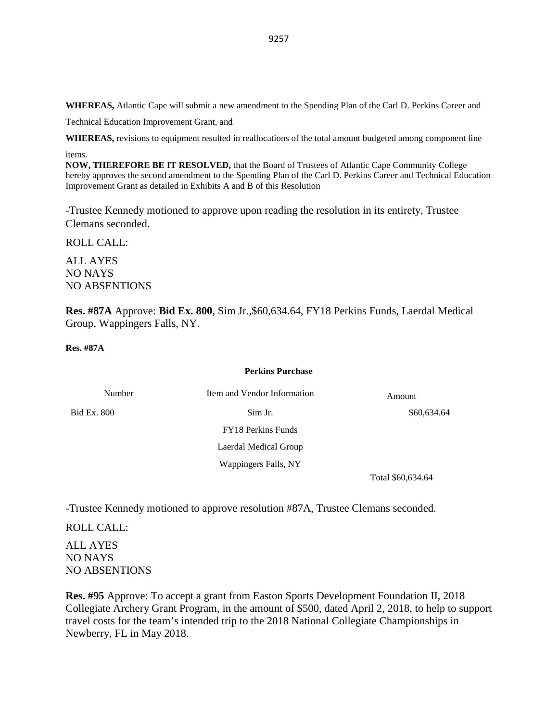**WHEREAS,** Atlantic Cape will submit a new amendment to the Spending Plan of the Carl D. Perkins Career and

Technical Education Improvement Grant, and

**WHEREAS,** revisions to equipment resulted in reallocations of the total amount budgeted among component line items.

**NOW, THEREFORE BE IT RESOLVED,** that the Board of Trustees of Atlantic Cape Community College hereby approves the second amendment to the Spending Plan of the Carl D. Perkins Career and Technical Education Improvement Grant as detailed in Exhibits A and B of this Resolution

-Trustee Kennedy motioned to approve upon reading the resolution in its entirety, Trustee Clemans seconded.

ROLL CALL:

ALL AYES NO NAYS NO ABSENTIONS

**Res. #87A** Approve: **Bid Ex. 800**, Sim Jr.,\$60,634.64, FY18 Perkins Funds, Laerdal Medical Group, Wappingers Falls, NY.

**Res. #87A** 

#### **Perkins Purchase**

| Number      | Item and Vendor Information | Amount      |
|-------------|-----------------------------|-------------|
| Bid Ex. 800 | Sim Jr.                     | \$60,634.64 |
|             | FY18 Perkins Funds          |             |
|             | Laerdal Medical Group       |             |
|             | Wappingers Falls, NY        |             |

Total \$60,634.64

-Trustee Kennedy motioned to approve resolution #87A, Trustee Clemans seconded.

ROLL CALL:

ALL AYES NO NAYS NO ABSENTIONS

**Res. #95** Approve: To accept a grant from Easton Sports Development Foundation II, 2018 Collegiate Archery Grant Program, in the amount of \$500, dated April 2, 2018, to help to support travel costs for the team's intended trip to the 2018 National Collegiate Championships in Newberry, FL in May 2018.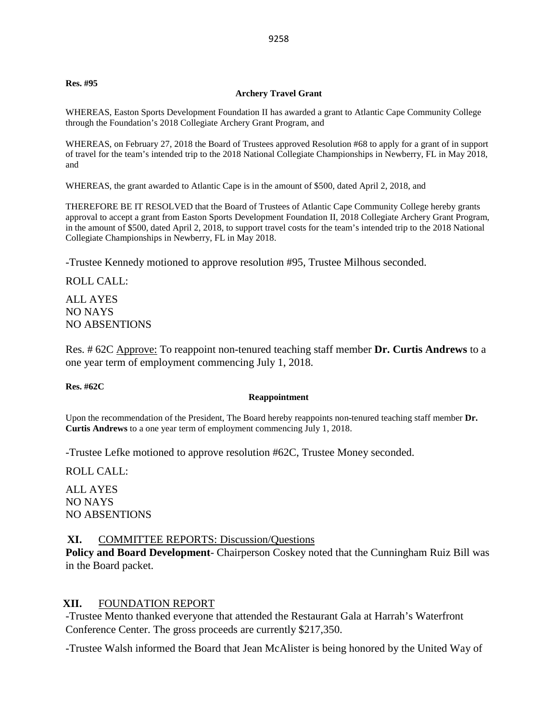#### **Res. #95**

### **Archery Travel Grant**

WHEREAS, Easton Sports Development Foundation II has awarded a grant to Atlantic Cape Community College through the Foundation's 2018 Collegiate Archery Grant Program, and

WHEREAS, on February 27, 2018 the Board of Trustees approved Resolution #68 to apply for a grant of in support of travel for the team's intended trip to the 2018 National Collegiate Championships in Newberry, FL in May 2018, and

WHEREAS, the grant awarded to Atlantic Cape is in the amount of \$500, dated April 2, 2018, and

THEREFORE BE IT RESOLVED that the Board of Trustees of Atlantic Cape Community College hereby grants approval to accept a grant from Easton Sports Development Foundation II, 2018 Collegiate Archery Grant Program, in the amount of \$500, dated April 2, 2018, to support travel costs for the team's intended trip to the 2018 National Collegiate Championships in Newberry, FL in May 2018.

-Trustee Kennedy motioned to approve resolution #95, Trustee Milhous seconded.

ROLL CALL:

ALL AYES NO NAYS NO ABSENTIONS

Res. # 62C Approve: To reappoint non-tenured teaching staff member **Dr. Curtis Andrews** to a one year term of employment commencing July 1, 2018.

**Res. #62C**

#### **Reappointment**

Upon the recommendation of the President, The Board hereby reappoints non-tenured teaching staff member **Dr. Curtis Andrews** to a one year term of employment commencing July 1, 2018.

-Trustee Lefke motioned to approve resolution #62C, Trustee Money seconded.

ROLL CALL:

ALL AYES NO NAYS NO ABSENTIONS

### **XI.** COMMITTEE REPORTS: Discussion/Questions

**Policy and Board Development**- Chairperson Coskey noted that the Cunningham Ruiz Bill was in the Board packet.

### **XII.** FOUNDATION REPORT

-Trustee Mento thanked everyone that attended the Restaurant Gala at Harrah's Waterfront Conference Center. The gross proceeds are currently \$217,350.

-Trustee Walsh informed the Board that Jean McAlister is being honored by the United Way of